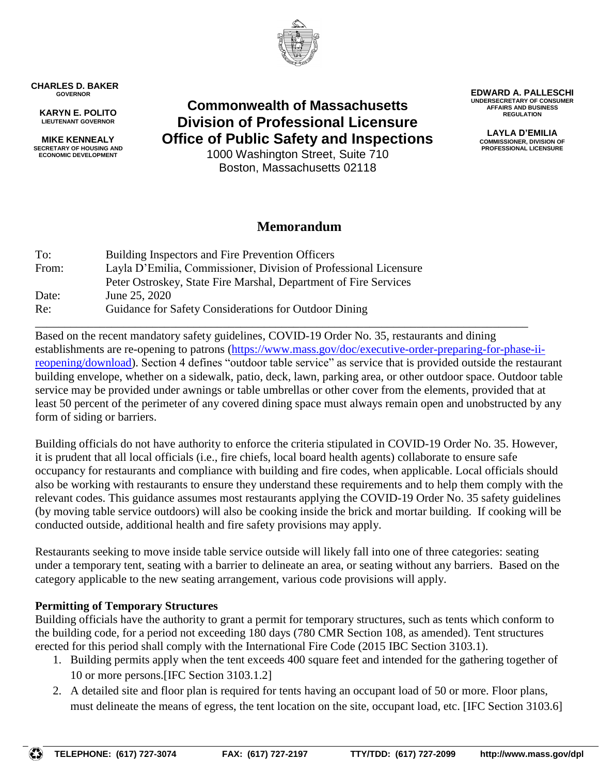

**CHARLES D. BAKER GOVERNOR**

**KARYN E. POLITO LIEUTENANT GOVERNOR**

**MIKE KENNEALY SECRETARY OF HOUSING AND ECONOMIC DEVELOPMENT**

**Commonwealth of Massachusetts Division of Professional Licensure Office of Public Safety and Inspections**

1000 Washington Street, Suite 710 Boston, Massachusetts 02118

# **Memorandum**

| To:   | Building Inspectors and Fire Prevention Officers                 |
|-------|------------------------------------------------------------------|
| From: | Layla D'Emilia, Commissioner, Division of Professional Licensure |
|       | Peter Ostroskey, State Fire Marshal, Department of Fire Services |
| Date: | June 25, 2020                                                    |
| Re:   | Guidance for Safety Considerations for Outdoor Dining            |

\_\_\_\_\_\_\_\_\_\_\_\_\_\_\_\_\_\_\_\_\_\_\_\_\_\_\_\_\_\_\_\_\_\_\_\_\_\_\_\_\_\_\_\_\_\_\_\_\_\_\_\_\_\_\_\_\_\_\_\_\_\_\_\_\_\_\_\_\_\_\_\_\_\_\_\_\_\_\_\_\_\_\_\_ Based on the recent mandatory safety guidelines, COVID-19 Order No. 35, restaurants and dining establishments are re-opening to patrons [\(https://www.mass.gov/doc/executive-order-preparing-for-phase-ii](https://www.mass.gov/doc/executive-order-preparing-for-phase-ii-reopening/download)[reopening/download\)](https://www.mass.gov/doc/executive-order-preparing-for-phase-ii-reopening/download). Section 4 defines "outdoor table service" as service that is provided outside the restaurant building envelope, whether on a sidewalk, patio, deck, lawn, parking area, or other outdoor space. Outdoor table service may be provided under awnings or table umbrellas or other cover from the elements, provided that at least 50 percent of the perimeter of any covered dining space must always remain open and unobstructed by any form of siding or barriers.

Building officials do not have authority to enforce the criteria stipulated in COVID-19 Order No. 35. However, it is prudent that all local officials (i.e., fire chiefs, local board health agents) collaborate to ensure safe occupancy for restaurants and compliance with building and fire codes, when applicable. Local officials should also be working with restaurants to ensure they understand these requirements and to help them comply with the relevant codes. This guidance assumes most restaurants applying the COVID-19 Order No. 35 safety guidelines (by moving table service outdoors) will also be cooking inside the brick and mortar building. If cooking will be conducted outside, additional health and fire safety provisions may apply.

Restaurants seeking to move inside table service outside will likely fall into one of three categories: seating under a temporary tent, seating with a barrier to delineate an area, or seating without any barriers. Based on the category applicable to the new seating arrangement, various code provisions will apply.

# **Permitting of Temporary Structures**

Building officials have the authority to grant a permit for temporary structures, such as tents which conform to the building code, for a period not exceeding 180 days (780 CMR Section 108, as amended). Tent structures erected for this period shall comply with the International Fire Code (2015 IBC Section 3103.1).

- 1. Building permits apply when the tent exceeds 400 square feet and intended for the gathering together of 10 or more persons.[IFC Section 3103.1.2]
- 2. A detailed site and floor plan is required for tents having an occupant load of 50 or more. Floor plans, must delineate the means of egress, the tent location on the site, occupant load, etc. [IFC Section 3103.6]

**EDWARD A. PALLESCHI UNDERSECRETARY OF CONSUMER AFFAIRS AND BUSINESS REGULATION**

> **LAYLA D'EMILIA COMMISSIONER, DIVISION OF PROFESSIONAL LICENSURE**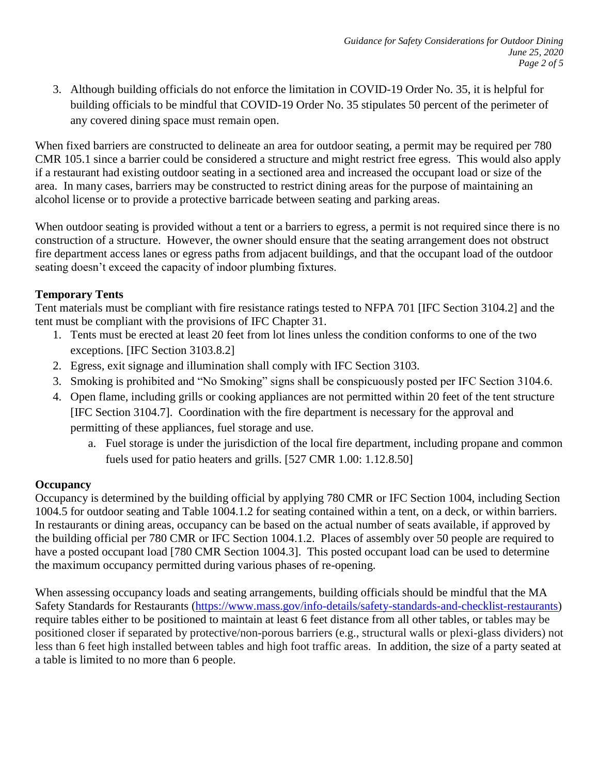3. Although building officials do not enforce the limitation in COVID-19 Order No. 35, it is helpful for building officials to be mindful that COVID-19 Order No. 35 stipulates 50 percent of the perimeter of any covered dining space must remain open.

When fixed barriers are constructed to delineate an area for outdoor seating, a permit may be required per 780 CMR 105.1 since a barrier could be considered a structure and might restrict free egress. This would also apply if a restaurant had existing outdoor seating in a sectioned area and increased the occupant load or size of the area. In many cases, barriers may be constructed to restrict dining areas for the purpose of maintaining an alcohol license or to provide a protective barricade between seating and parking areas.

When outdoor seating is provided without a tent or a barriers to egress, a permit is not required since there is no construction of a structure. However, the owner should ensure that the seating arrangement does not obstruct fire department access lanes or egress paths from adjacent buildings, and that the occupant load of the outdoor seating doesn't exceed the capacity of indoor plumbing fixtures.

# **Temporary Tents**

Tent materials must be compliant with fire resistance ratings tested to NFPA 701 [IFC Section 3104.2] and the tent must be compliant with the provisions of IFC Chapter 31.

- 1. Tents must be erected at least 20 feet from lot lines unless the condition conforms to one of the two exceptions. [IFC Section 3103.8.2]
- 2. Egress, exit signage and illumination shall comply with IFC Section 3103.
- 3. Smoking is prohibited and "No Smoking" signs shall be conspicuously posted per IFC Section 3104.6.
- 4. Open flame, including grills or cooking appliances are not permitted within 20 feet of the tent structure [IFC Section 3104.7]. Coordination with the fire department is necessary for the approval and permitting of these appliances, fuel storage and use.
	- a. Fuel storage is under the jurisdiction of the local fire department, including propane and common fuels used for patio heaters and grills. [527 CMR 1.00: 1.12.8.50]

# **Occupancy**

Occupancy is determined by the building official by applying 780 CMR or IFC Section 1004, including Section 1004.5 for outdoor seating and Table 1004.1.2 for seating contained within a tent, on a deck, or within barriers. In restaurants or dining areas, occupancy can be based on the actual number of seats available, if approved by the building official per 780 CMR or IFC Section 1004.1.2. Places of assembly over 50 people are required to have a posted occupant load [780 CMR Section 1004.3]. This posted occupant load can be used to determine the maximum occupancy permitted during various phases of re-opening.

When assessing occupancy loads and seating arrangements, building officials should be mindful that the MA Safety Standards for Restaurants [\(https://www.mass.gov/info-details/safety-standards-and-checklist-restaurants\)](https://www.mass.gov/info-details/safety-standards-and-checklist-restaurants) require tables either to be positioned to maintain at least 6 feet distance from all other tables, or tables may be positioned closer if separated by protective/non-porous barriers (e.g., structural walls or plexi-glass dividers) not less than 6 feet high installed between tables and high foot traffic areas. In addition, the size of a party seated at a table is limited to no more than 6 people.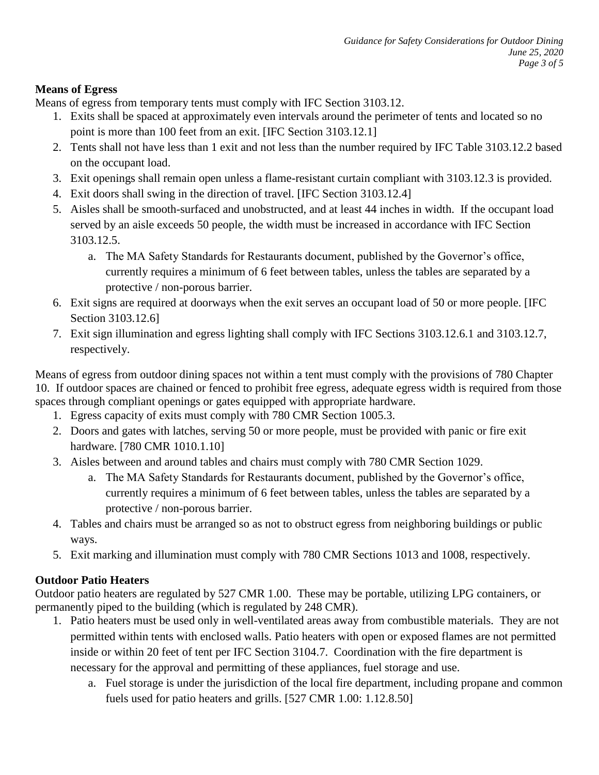#### **Means of Egress**

Means of egress from temporary tents must comply with IFC Section 3103.12.

- 1. Exits shall be spaced at approximately even intervals around the perimeter of tents and located so no point is more than 100 feet from an exit. [IFC Section 3103.12.1]
- 2. Tents shall not have less than 1 exit and not less than the number required by IFC Table 3103.12.2 based on the occupant load.
- 3. Exit openings shall remain open unless a flame-resistant curtain compliant with 3103.12.3 is provided.
- 4. Exit doors shall swing in the direction of travel. [IFC Section 3103.12.4]
- 5. Aisles shall be smooth-surfaced and unobstructed, and at least 44 inches in width. If the occupant load served by an aisle exceeds 50 people, the width must be increased in accordance with IFC Section 3103.12.5.
	- a. The MA Safety Standards for Restaurants document, published by the Governor's office, currently requires a minimum of 6 feet between tables, unless the tables are separated by a protective / non-porous barrier.
- 6. Exit signs are required at doorways when the exit serves an occupant load of 50 or more people. [IFC Section 3103.12.6]
- 7. Exit sign illumination and egress lighting shall comply with IFC Sections 3103.12.6.1 and 3103.12.7, respectively.

Means of egress from outdoor dining spaces not within a tent must comply with the provisions of 780 Chapter 10. If outdoor spaces are chained or fenced to prohibit free egress, adequate egress width is required from those spaces through compliant openings or gates equipped with appropriate hardware.

- 1. Egress capacity of exits must comply with 780 CMR Section 1005.3.
- 2. Doors and gates with latches, serving 50 or more people, must be provided with panic or fire exit hardware. [780 CMR 1010.1.10]
- 3. Aisles between and around tables and chairs must comply with 780 CMR Section 1029.
	- a. The MA Safety Standards for Restaurants document, published by the Governor's office, currently requires a minimum of 6 feet between tables, unless the tables are separated by a protective / non-porous barrier.
- 4. Tables and chairs must be arranged so as not to obstruct egress from neighboring buildings or public ways.
- 5. Exit marking and illumination must comply with 780 CMR Sections 1013 and 1008, respectively.

# **Outdoor Patio Heaters**

Outdoor patio heaters are regulated by 527 CMR 1.00. These may be portable, utilizing LPG containers, or permanently piped to the building (which is regulated by 248 CMR).

- 1. Patio heaters must be used only in well-ventilated areas away from combustible materials. They are not permitted within tents with enclosed walls. Patio heaters with open or exposed flames are not permitted inside or within 20 feet of tent per IFC Section 3104.7. Coordination with the fire department is necessary for the approval and permitting of these appliances, fuel storage and use.
	- a. Fuel storage is under the jurisdiction of the local fire department, including propane and common fuels used for patio heaters and grills. [527 CMR 1.00: 1.12.8.50]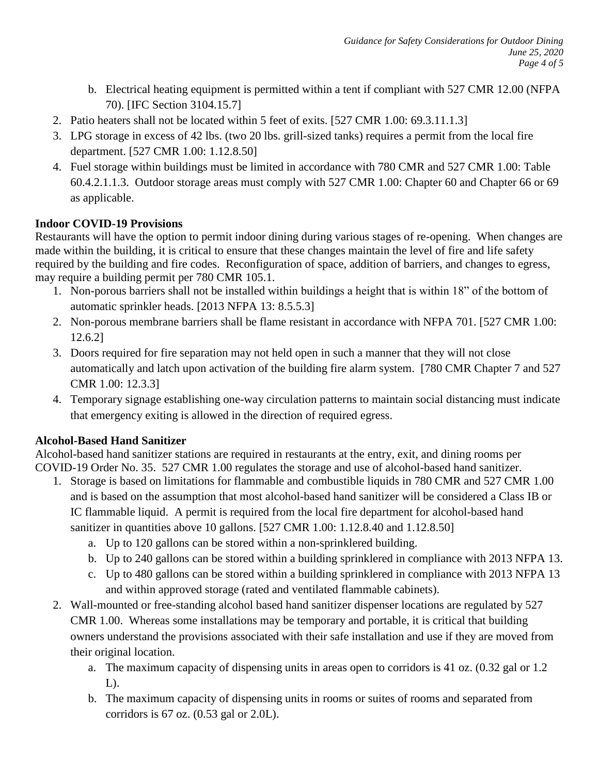- b. Electrical heating equipment is permitted within a tent if compliant with 527 CMR 12.00 (NFPA 70). [IFC Section 3104.15.7]
- 2. Patio heaters shall not be located within 5 feet of exits. [527 CMR 1.00: 69.3.11.1.3]
- 3. LPG storage in excess of 42 lbs. (two 20 lbs. grill-sized tanks) requires a permit from the local fire department. [527 CMR 1.00: 1.12.8.50]
- 4. Fuel storage within buildings must be limited in accordance with 780 CMR and 527 CMR 1.00: Table 60.4.2.1.1.3. Outdoor storage areas must comply with 527 CMR 1.00: Chapter 60 and Chapter 66 or 69 as applicable.

# **Indoor COVID-19 Provisions**

Restaurants will have the option to permit indoor dining during various stages of re-opening. When changes are made within the building, it is critical to ensure that these changes maintain the level of fire and life safety required by the building and fire codes. Reconfiguration of space, addition of barriers, and changes to egress, may require a building permit per 780 CMR 105.1.

- 1. Non-porous barriers shall not be installed within buildings a height that is within 18" of the bottom of automatic sprinkler heads. [2013 NFPA 13: 8.5.5.3]
- 2. Non-porous membrane barriers shall be flame resistant in accordance with NFPA 701. [527 CMR 1.00: 12.6.2]
- 3. Doors required for fire separation may not held open in such a manner that they will not close automatically and latch upon activation of the building fire alarm system. [780 CMR Chapter 7 and 527 CMR 1.00: 12.3.3]
- 4. Temporary signage establishing one-way circulation patterns to maintain social distancing must indicate that emergency exiting is allowed in the direction of required egress.

# **Alcohol-Based Hand Sanitizer**

Alcohol-based hand sanitizer stations are required in restaurants at the entry, exit, and dining rooms per COVID-19 Order No. 35. 527 CMR 1.00 regulates the storage and use of alcohol-based hand sanitizer.

- 1. Storage is based on limitations for flammable and combustible liquids in 780 CMR and 527 CMR 1.00 and is based on the assumption that most alcohol-based hand sanitizer will be considered a Class IB or IC flammable liquid. A permit is required from the local fire department for alcohol-based hand sanitizer in quantities above 10 gallons. [527 CMR 1.00: 1.12.8.40 and 1.12.8.50]
	- a. Up to 120 gallons can be stored within a non-sprinklered building.
	- b. Up to 240 gallons can be stored within a building sprinklered in compliance with 2013 NFPA 13.
	- c. Up to 480 gallons can be stored within a building sprinklered in compliance with 2013 NFPA 13 and within approved storage (rated and ventilated flammable cabinets).
- 2. Wall-mounted or free-standing alcohol based hand sanitizer dispenser locations are regulated by 527 CMR 1.00. Whereas some installations may be temporary and portable, it is critical that building owners understand the provisions associated with their safe installation and use if they are moved from their original location.
	- a. The maximum capacity of dispensing units in areas open to corridors is 41 oz. (0.32 gal or 1.2  $L$ ).
	- b. The maximum capacity of dispensing units in rooms or suites of rooms and separated from corridors is 67 oz. (0.53 gal or 2.0L).